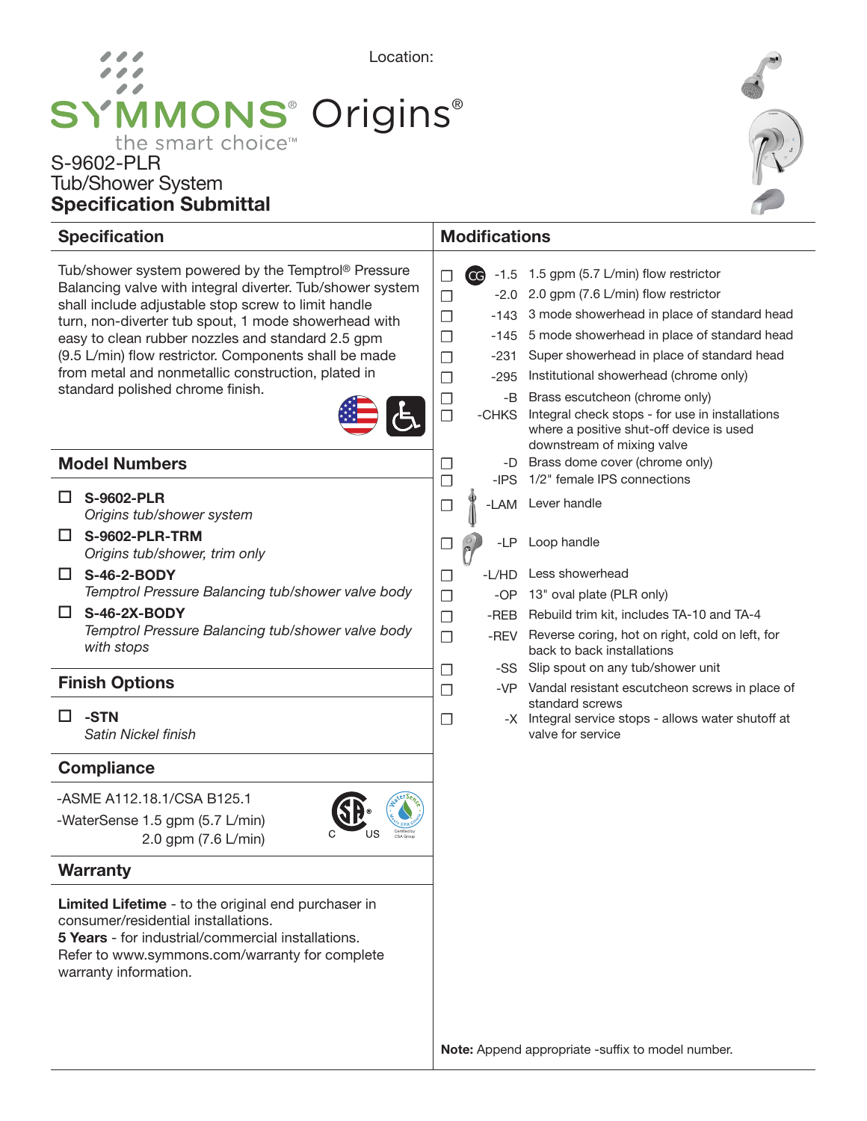# Location: **SYMMONS® Origins®** the smart choice<sup>™</sup>

## S-9602-PLR Tub/Shower System Specification Submittal



#### **Specification** Tub/shower system powered by the Temptrol® Pressure Balancing valve with integral diverter. Tub/shower system shall include adjustable stop screw to limit handle turn, non-diverter tub spout, 1 mode showerhead with easy to clean rubber nozzles and standard 2.5 gpm (9.5 L/min) flow restrictor. Components shall be made from metal and nonmetallic construction, plated in standard polished chrome finish. **Modifications Warranty** Limited Lifetime - to the original end purchaser in consumer/residential installations. Model Numbers **Compliance** -ASME A112.18.1/CSA B125.1 -WaterSense 1.5 gpm (5.7 L/min) 2.0 gpm (7.6 L/min) □ S-9602-PLR *Origins tub/shower system* □ S-9602-PLR-TRM *Origins tub/shower, trim only*  $\Box$  S-46-2-BODY *Temptrol Pressure Balancing tub/shower valve body*  $\square$  S-46-2X-BODY *Temptrol Pressure Balancing tub/shower valve body with stops* Certified by CSA Group Finish Options  $\Box$ -STN *Satin Nickel finish*  $\Box$  CG -1.5 1.5 gpm (5.7 L/min) flow restrictor □ -2.0 2.0 gpm (7.6 L/min) flow restrictor □ -143 3 mode showerhead in place of standard head ☐ -145 5 mode showerhead in place of standard head □ -231 Super showerhead in place of standard head ☐ -295 Institutional showerhead (chrome only) □ -B Brass escutcheon (chrome only)<br>□ -CHKS Integral check stops - for use in -CHKS Integral check stops - for use in installations where a positive shut-off device is used downstream of mixing valve  $\Box$  -D Brass dome cover (chrome only)<br> $\Box$  -IPS  $\,$  1/2" female IPS connections -IPS 1/2" female IPS connections □ ₩ -LAM Lever handle  $\Box$   $\odot$  -LP Loop handle □ -L/HD Less showerhead □ -OP 13" oval plate (PLR only) □ -REB Rebuild trim kit, includes TA-10 and TA-4 □ -REV Reverse coring, hot on right, cold on left, for back to back installations □ -SS Slip spout on any tub/shower unit □ -VP Vandal resistant escutcheon screws in place of standard screws  $\nabla$  -X Integral service stops - allows water shutoff at valve for service

5 Years - for industrial/commercial installations. Refer to www.symmons.com/warranty for complete warranty information.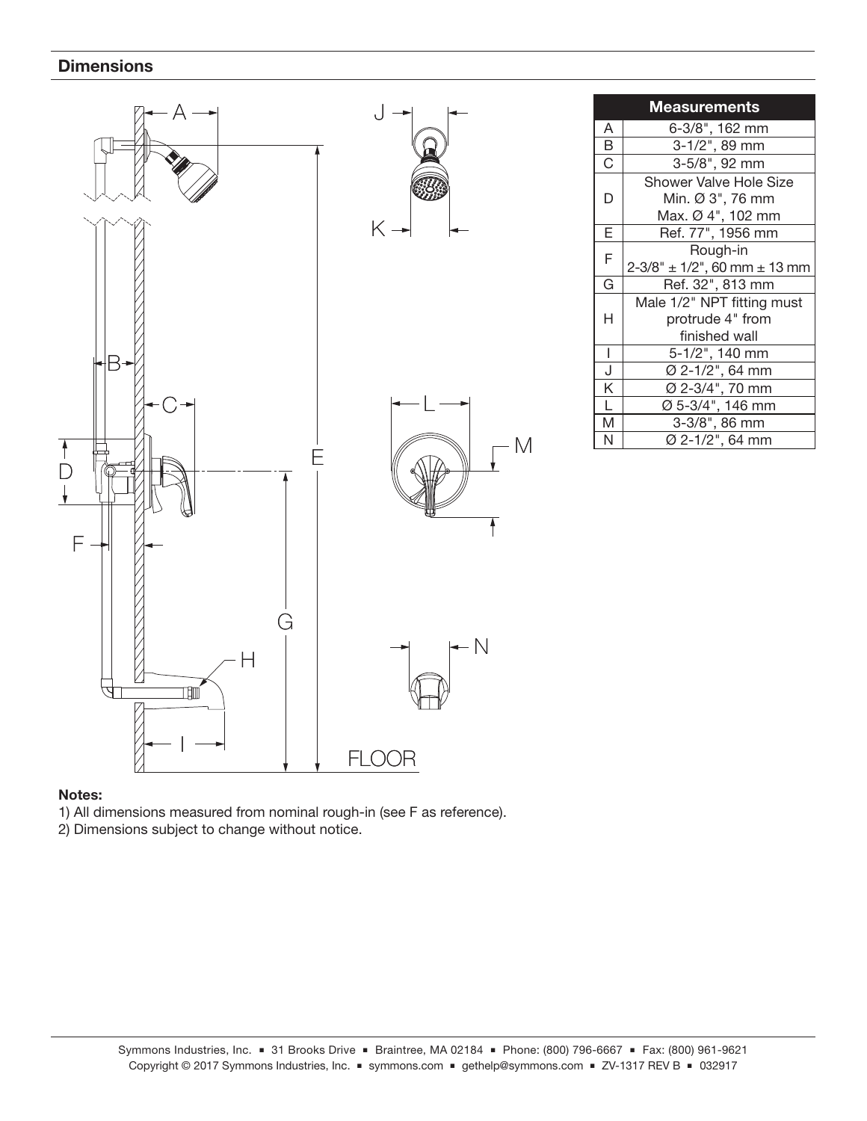### **Dimensions**



| <b>Measurements</b>     |                                 |
|-------------------------|---------------------------------|
| А                       | 6-3/8", 162 mm                  |
| B                       | 3-1/2", 89 mm                   |
| $\overline{\mathrm{c}}$ | 3-5/8", 92 mm                   |
| D                       | Shower Valve Hole Size          |
|                         | Min. Ø 3", 76 mm                |
|                         | Max. Ø 4", 102 mm               |
| E                       | Ref. 77", 1956 mm               |
| F                       | Rough-in                        |
|                         | $2-3/8$ " ± 1/2", 60 mm ± 13 mm |
| G                       | Ref. 32", 813 mm                |
| Н                       | Male 1/2" NPT fitting must      |
|                         | protrude 4" from                |
|                         | finished wall                   |
| I                       | 5-1/2", 140 mm                  |
| J                       | Ø 2-1/2", 64 mm                 |
| Κ                       | Ø 2-3/4", 70 mm                 |
| L                       | Ø 5-3/4", 146 mm                |
| M                       | 3-3/8", 86 mm                   |
| N                       | Ø 2-1/2", 64 mm                 |

### Notes:

- 1) All dimensions measured from nominal rough-in (see F as reference).
- 2) Dimensions subject to change without notice.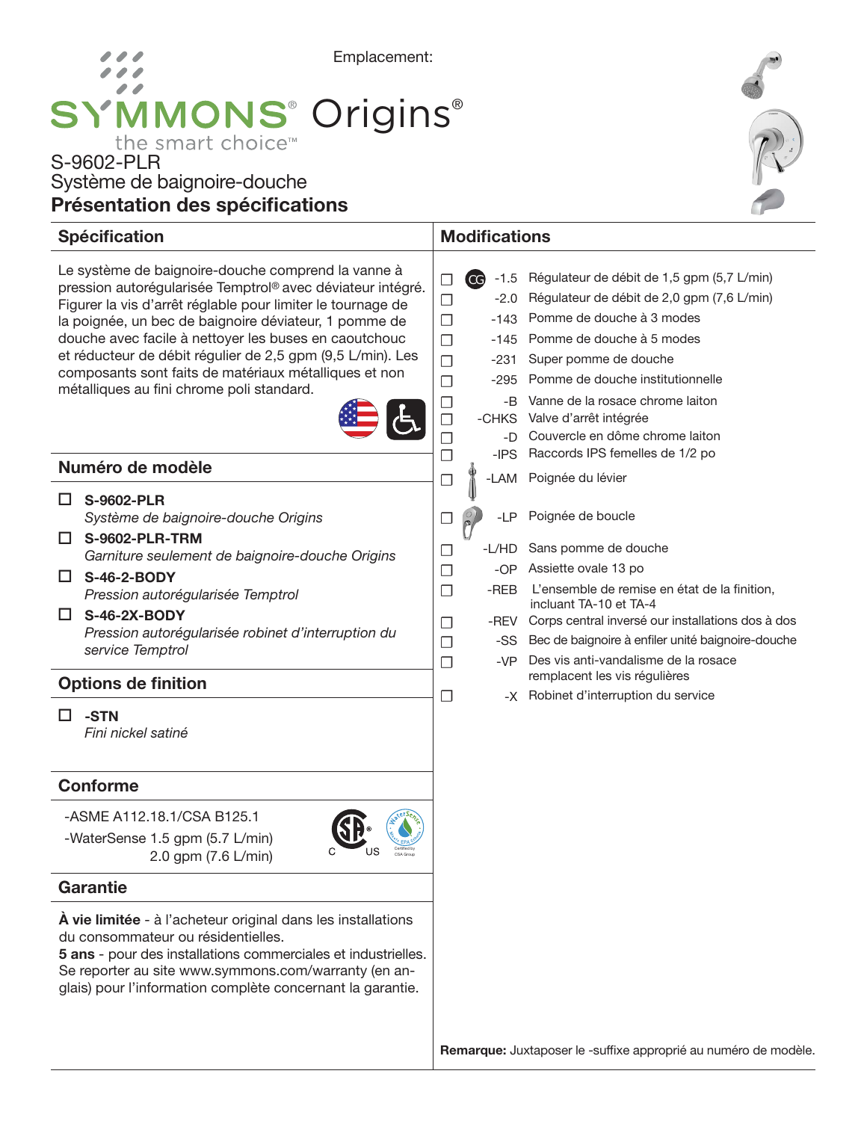# Emplacement: **SYMMONS®** Origins® the smart choice<sup>™</sup>

## S-9602-PLR Système de baignoire-douche Présentation des spécifications



#### Le système de baignoire-douche comprend la vanne à pression autorégularisée Temptrol® avec déviateur intégré. Figurer la vis d'arrêt réglable pour limiter le tournage de la poignée, un bec de baignoire déviateur, 1 pomme de douche avec facile à nettoyer les buses en caoutchouc et réducteur de débit régulier de 2,5 gpm (9,5 L/min). Les composants sont faits de matériaux métalliques et non métalliques au fini chrome poli standard. Spécification Modifications Numéro de modèle Conforme □ S-9602-PLR *Système de baignoire-douche Origins* S-9602-PLR-TRM *Garniture seulement de baignoire-douche Origins* S-46-2-BODY *Pression autorégularisée Temptrol*  $\square$  S-46-2X-BODY *Pression autorégularisée robinet d'interruption du service Temptrol* Options de finition  $\Box$ -STN *Fini nickel satiné*  $\Box$   $\rm{CG}$  -1.5 Régulateur de débit de 1,5 gpm (5,7 L/min) ☐ -2.0 Régulateur de débit de 2,0 gpm (7,6 L/min) □ -143 Pomme de douche à 3 modes ☐ -145 Pomme de douche à 5 modes □ -231 Super pomme de douche ☐ -295 Pomme de douche institutionnelle □ -B Vanne de la rosace chrome laiton<br>□ -CHKS Valve d'arrêt intégrée -CHKS Valve d'arrêt intégrée □ -D Couvercle en dôme chrome laiton<br>□ -IPS Raccords IPS femelles de 1/2 po ☐ -IPS Raccords IPS femelles de 1/2 po □ K -LAM Poignée du lévier □ *Q* -LP Poignée de boucle ☐ -L/HD Sans pomme de douche ☐ -OP Assiette ovale 13 po □ -REB L'ensemble de remise en état de la finition, incluant TA-10 et TA-4 □ -REV Corps central inversé our installations dos à dos □ -SS Bec de baignoire à enfiler unité baignoire-douche ☐ -VP Des vis anti-vandalisme de la rosace remplacent les vis régulières ☐ -X Robinet d'interruption du service CG

-ASME A112.18.1/CSA B125.1

-WaterSense 1.5 gpm (5.7 L/min) 2.0 gpm (7.6 L/min)



## **Garantie**

À vie limitée - à l'acheteur original dans les installations du consommateur ou résidentielles.

5 ans - pour des installations commerciales et industrielles. Se reporter au site www.symmons.com/warranty (en anglais) pour l'information complète concernant la garantie.

Remarque: Juxtaposer le -suffixe approprié au numéro de modèle.